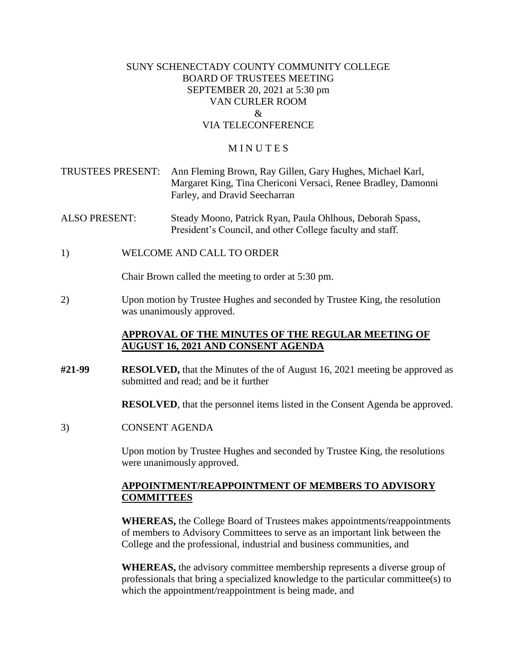## SUNY SCHENECTADY COUNTY COMMUNITY COLLEGE BOARD OF TRUSTEES MEETING SEPTEMBER 20, 2021 at 5:30 pm VAN CURLER ROOM  $\mathcal{R}_{\mathcal{L}}$ VIA TELECONFERENCE

#### **MINUTES**

- TRUSTEES PRESENT: Ann Fleming Brown, Ray Gillen, Gary Hughes, Michael Karl, Margaret King, Tina Chericoni Versaci, Renee Bradley, Damonni Farley, and Dravid Seecharran
- ALSO PRESENT: Steady Moono, Patrick Ryan, Paula Ohlhous, Deborah Spass, President's Council, and other College faculty and staff.
- 1) WELCOME AND CALL TO ORDER

Chair Brown called the meeting to order at 5:30 pm.

 was unanimously approved. 2) Upon motion by Trustee Hughes and seconded by Trustee King, the resolution

## **APPROVAL OF THE MINUTES OF THE REGULAR MEETING OF AUGUST 16, 2021 AND CONSENT AGENDA**

**#21-99 RESOLVED,** that the Minutes of the of August 16, 2021 meeting be approved as submitted and read; and be it further

**RESOLVED**, that the personnel items listed in the Consent Agenda be approved.

3) CONSENT AGENDA

 Upon motion by Trustee Hughes and seconded by Trustee King, the resolutions were unanimously approved.

#### **APPOINTMENT/REAPPOINTMENT OF MEMBERS TO ADVISORY COMMITTEES**

**WHEREAS,** the College Board of Trustees makes appointments/reappointments of members to Advisory Committees to serve as an important link between the College and the professional, industrial and business communities, and

**WHEREAS,** the advisory committee membership represents a diverse group of professionals that bring a specialized knowledge to the particular committee(s) to which the appointment/reappointment is being made, and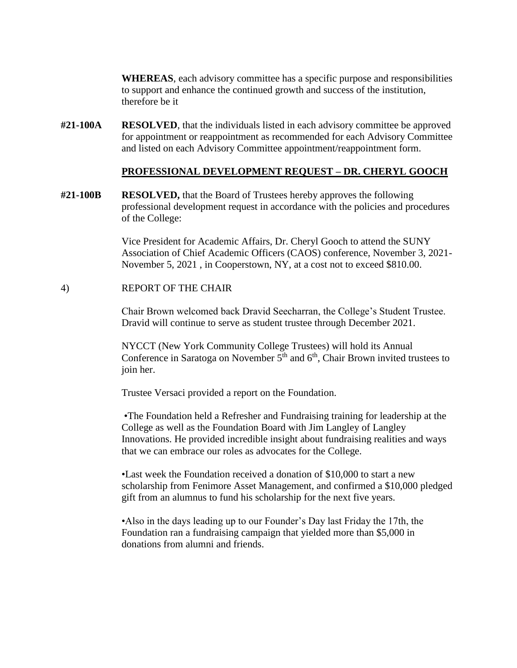**WHEREAS**, each advisory committee has a specific purpose and responsibilities to support and enhance the continued growth and success of the institution, therefore be it

**#21-100A RESOLVED**, that the individuals listed in each advisory committee be approved for appointment or reappointment as recommended for each Advisory Committee and listed on each Advisory Committee appointment/reappointment form.

#### **PROFESSIONAL DEVELOPMENT REQUEST – DR. CHERYL GOOCH**

**#21-100B RESOLVED,** that the Board of Trustees hereby approves the following professional development request in accordance with the policies and procedures of the College:

> Vice President for Academic Affairs, Dr. Cheryl Gooch to attend the SUNY Association of Chief Academic Officers (CAOS) conference, November 3, 2021- November 5, 2021 , in Cooperstown, NY, at a cost not to exceed \$810.00.

#### 4) REPORT OF THE CHAIR

Chair Brown welcomed back Dravid Seecharran, the College's Student Trustee. Dravid will continue to serve as student trustee through December 2021.

NYCCT (New York Community College Trustees) will hold its Annual Conference in Saratoga on November  $5<sup>th</sup>$  and  $6<sup>th</sup>$ , Chair Brown invited trustees to join her.

Trustee Versaci provided a report on the Foundation.

•The Foundation held a Refresher and Fundraising training for leadership at the College as well as the Foundation Board with Jim Langley of Langley Innovations. He provided incredible insight about fundraising realities and ways that we can embrace our roles as advocates for the College.

•Last week the Foundation received a donation of \$10,000 to start a new scholarship from Fenimore Asset Management, and confirmed a \$10,000 pledged gift from an alumnus to fund his scholarship for the next five years.

•Also in the days leading up to our Founder's Day last Friday the 17th, the Foundation ran a fundraising campaign that yielded more than \$5,000 in donations from alumni and friends.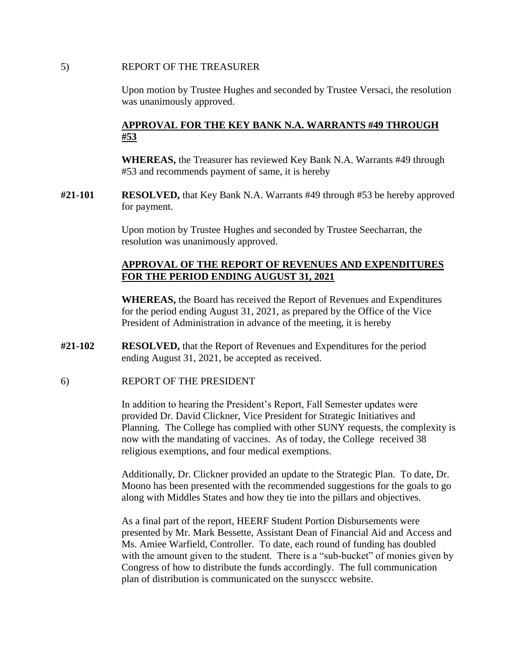#### 5) REPORT OF THE TREASURER

 Upon motion by Trustee Hughes and seconded by Trustee Versaci, the resolution was unanimously approved.

## **APPROVAL FOR THE KEY BANK N.A. WARRANTS #49 THROUGH #53**

**WHEREAS,** the Treasurer has reviewed Key Bank N.A. Warrants #49 through #53 and recommends payment of same, it is hereby

**#21-101 RESOLVED,** that Key Bank N.A. Warrants #49 through #53 be hereby approved for payment.

> Upon motion by Trustee Hughes and seconded by Trustee Seecharran, the resolution was unanimously approved.

## **APPROVAL OF THE REPORT OF REVENUES AND EXPENDITURES FOR THE PERIOD ENDING AUGUST 31, 2021**

**WHEREAS,** the Board has received the Report of Revenues and Expenditures for the period ending August 31, 2021, as prepared by the Office of the Vice President of Administration in advance of the meeting, it is hereby

- **#21-102 RESOLVED,** that the Report of Revenues and Expenditures for the period ending August 31, 2021, be accepted as received.
- 6) REPORT OF THE PRESIDENT

In addition to hearing the President's Report, Fall Semester updates were provided Dr. David Clickner, Vice President for Strategic Initiatives and Planning. The College has complied with other SUNY requests, the complexity is now with the mandating of vaccines. As of today, the College received 38 religious exemptions, and four medical exemptions.

Additionally, Dr. Clickner provided an update to the Strategic Plan. To date, Dr. Moono has been presented with the recommended suggestions for the goals to go along with Middles States and how they tie into the pillars and objectives.

As a final part of the report, HEERF Student Portion Disbursements were presented by Mr. Mark Bessette, Assistant Dean of Financial Aid and Access and Ms. Amiee Warfield, Controller. To date, each round of funding has doubled with the amount given to the student. There is a "sub-bucket" of monies given by Congress of how to distribute the funds accordingly. The full communication plan of distribution is communicated on the sunysccc website.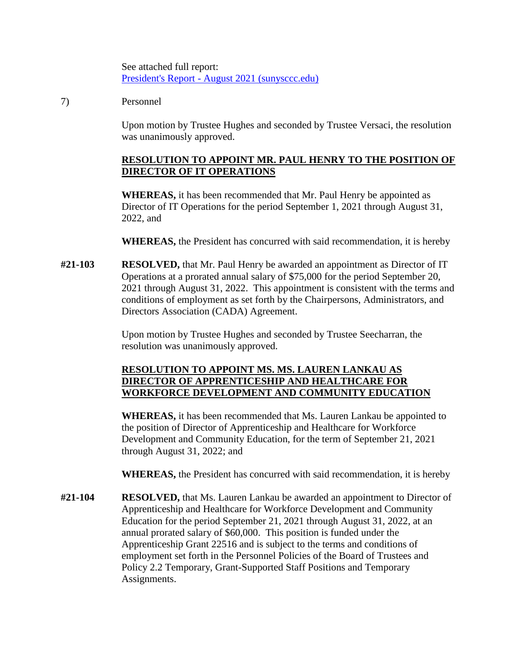See attached full report: President's Report - [August 2021 \(sunysccc.edu\)](https://sunysccc.edu/PDF/About%20SCCC/CollegeLeadershipVision/PresidentsReport_9-2021.pdf) 

## 7) Personnel

 Upon motion by Trustee Hughes and seconded by Trustee Versaci, the resolution was unanimously approved.

# **RESOLUTION TO APPOINT MR. PAUL HENRY TO THE POSITION OF DIRECTOR OF IT OPERATIONS**

**WHEREAS,** it has been recommended that Mr. Paul Henry be appointed as Director of IT Operations for the period September 1, 2021 through August 31, 2022, and

**WHEREAS,** the President has concurred with said recommendation, it is hereby

**#21-103 RESOLVED,** that Mr. Paul Henry be awarded an appointment as Director of IT Operations at a prorated annual salary of \$75,000 for the period September 20, 2021 through August 31, 2022. This appointment is consistent with the terms and conditions of employment as set forth by the Chairpersons, Administrators, and Directors Association (CADA) Agreement.

> Upon motion by Trustee Hughes and seconded by Trustee Seecharran, the resolution was unanimously approved.

## **RESOLUTION TO APPOINT MS. MS. LAUREN LANKAU AS DIRECTOR OF APPRENTICESHIP AND HEALTHCARE FOR WORKFORCE DEVELOPMENT AND COMMUNITY EDUCATION**

**WHEREAS,** it has been recommended that Ms. Lauren Lankau be appointed to the position of Director of Apprenticeship and Healthcare for Workforce Development and Community Education, for the term of September 21, 2021 through August 31, 2022; and

**WHEREAS,** the President has concurred with said recommendation, it is hereby

**#21-104 RESOLVED,** that Ms. Lauren Lankau be awarded an appointment to Director of Apprenticeship and Healthcare for Workforce Development and Community Education for the period September 21, 2021 through August 31, 2022, at an annual prorated salary of \$60,000. This position is funded under the Apprenticeship Grant 22516 and is subject to the terms and conditions of employment set forth in the Personnel Policies of the Board of Trustees and Policy 2.2 Temporary, Grant-Supported Staff Positions and Temporary Assignments.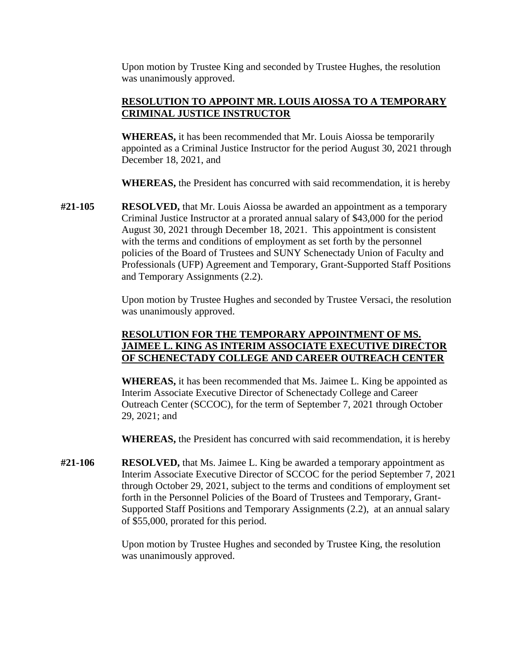Upon motion by Trustee King and seconded by Trustee Hughes, the resolution was unanimously approved.

## **RESOLUTION TO APPOINT MR. LOUIS AIOSSA TO A TEMPORARY CRIMINAL JUSTICE INSTRUCTOR**

**WHEREAS,** it has been recommended that Mr. Louis Aiossa be temporarily appointed as a Criminal Justice Instructor for the period August 30, 2021 through December 18, 2021, and

**WHEREAS,** the President has concurred with said recommendation, it is hereby

**#21-105 RESOLVED,** that Mr. Louis Aiossa be awarded an appointment as a temporary Criminal Justice Instructor at a prorated annual salary of \$43,000 for the period August 30, 2021 through December 18, 2021. This appointment is consistent with the terms and conditions of employment as set forth by the personnel policies of the Board of Trustees and SUNY Schenectady Union of Faculty and Professionals (UFP) Agreement and Temporary, Grant-Supported Staff Positions and Temporary Assignments (2.2).

> Upon motion by Trustee Hughes and seconded by Trustee Versaci, the resolution was unanimously approved.

## **RESOLUTION FOR THE TEMPORARY APPOINTMENT OF MS. JAIMEE L. KING AS INTERIM ASSOCIATE EXECUTIVE DIRECTOR OF SCHENECTADY COLLEGE AND CAREER OUTREACH CENTER**

 **WHEREAS,** it has been recommended that Ms. Jaimee L. King be appointed as Interim Associate Executive Director of Schenectady College and Career Outreach Center (SCCOC), for the term of September 7, 2021 through October 29, 2021; and

**WHEREAS,** the President has concurred with said recommendation, it is hereby

 **#21-106 RESOLVED,** that Ms. Jaimee L. King be awarded a temporary appointment as Interim Associate Executive Director of SCCOC for the period September 7, 2021 through October 29, 2021, subject to the terms and conditions of employment set forth in the Personnel Policies of the Board of Trustees and Temporary, Grant-Supported Staff Positions and Temporary Assignments (2.2), at an annual salary of \$55,000, prorated for this period.

> Upon motion by Trustee Hughes and seconded by Trustee King, the resolution was unanimously approved.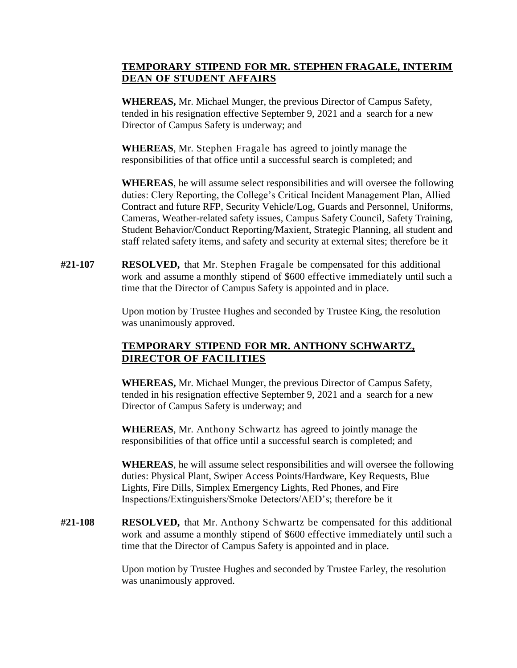# **DEAN OF STUDENT AFFAIRS TEMPORARY STIPEND FOR MR. STEPHEN FRAGALE, INTERIM**

**WHEREAS,** Mr. Michael Munger, the previous Director of Campus Safety, tended in his resignation effective September 9, 2021 and a search for a new Director of Campus Safety is underway; and

 **WHEREAS**, Mr. Stephen Fragale has agreed to jointly manage the responsibilities of that office until a successful search is completed; and

**WHEREAS**, he will assume select responsibilities and will oversee the following duties: Clery Reporting, the College's Critical Incident Management Plan, Allied Contract and future RFP, Security Vehicle/Log, Guards and Personnel, Uniforms, Cameras, Weather-related safety issues, Campus Safety Council, Safety Training, Student Behavior/Conduct Reporting/Maxient, Strategic Planning, all student and staff related safety items, and safety and security at external sites; therefore be it

 **#21-107 RESOLVED,** that Mr. Stephen Fragale be compensated for this additional work and assume a monthly stipend of \$600 effective immediately until such a time that the Director of Campus Safety is appointed and in place.

> Upon motion by Trustee Hughes and seconded by Trustee King, the resolution was unanimously approved.

# **DIRECTOR OF FACILITIES TEMPORARY STIPEND FOR MR. ANTHONY SCHWARTZ,**

**WHEREAS,** Mr. Michael Munger, the previous Director of Campus Safety, tended in his resignation effective September 9, 2021 and a search for a new Director of Campus Safety is underway; and

 **WHEREAS**, Mr. Anthony Schwartz has agreed to jointly manage the responsibilities of that office until a successful search is completed; and

**WHEREAS**, he will assume select responsibilities and will oversee the following duties: Physical Plant, Swiper Access Points/Hardware, Key Requests, Blue Lights, Fire Dills, Simplex Emergency Lights, Red Phones, and Fire Inspections/Extinguishers/Smoke Detectors/AED's; therefore be it

 **#21-108 RESOLVED,** that Mr. Anthony Schwartz be compensated for this additional work and assume a monthly stipend of \$600 effective immediately until such a time that the Director of Campus Safety is appointed and in place.

> Upon motion by Trustee Hughes and seconded by Trustee Farley, the resolution was unanimously approved.